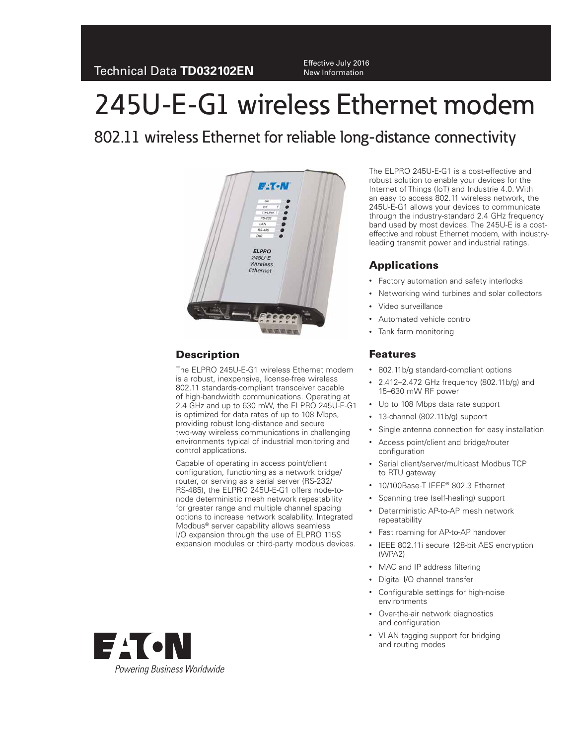New Information

# 245U-E-G1 wireless Ethernet modem

802.11 wireless Ethernet for reliable long-distance connectivity



# **Description**

The ELPRO 245U-E-G1 wireless Ethernet modem is a robust, inexpensive, license-free wireless 802.11 standards-compliant transceiver capable of high-bandwidth communications. Operating at 2.4 GHz and up to 630 mW, the ELPRO 245U-E-G1 is optimized for data rates of up to 108 Mbps, providing robust long-distance and secure two-way wireless communications in challenging environments typical of industrial monitoring and control applications.

Capable of operating in access point/client configuration, functioning as a network bridge/ router, or serving as a serial server (RS-232/ RS-485), the ELPRO 245U-E-G1 offers node-tonode deterministic mesh network repeatability for greater range and multiple channel spacing options to increase network scalability. Integrated Modbus® server capability allows seamless I/O expansion through the use of ELPRO 115S expansion modules or third-party modbus devices.

The ELPRO 245U-E-G1 is a cost-effective and robust solution to enable your devices for the Internet of Things (IoT) and Industrie 4.0. With an easy to access 802.11 wireless network, the 245U-E-G1 allows your devices to communicate through the industry-standard 2.4 GHz frequency band used by most devices. The 245U-E is a costeffective and robust Ethernet modem, with industryleading transmit power and industrial ratings.

## **Applications**

- Factory automation and safety interlocks
- Networking wind turbines and solar collectors
- Video surveillance
- Automated vehicle control
- Tank farm monitoring

## **Features**

- 802.11b/g standard-compliant options
- 2.412–2.472 GHz frequency (802.11b/g) and 15–630 mW RF power
- Up to 108 Mbps data rate support
- 13-channel (802.11b/g) support
- Single antenna connection for easy installation
- Access point/client and bridge/router configuration
- Serial client/server/multicast Modbus TCP to RTU gateway
- 10/100Base-T IEEE® 802.3 Ethernet
- Spanning tree (self-healing) support
- Deterministic AP-to-AP mesh network repeatability
- Fast roaming for AP-to-AP handover
- IEEE 802.11i secure 128-bit AES encryption (WPA2)
- MAC and IP address filtering
- Digital I/O channel transfer
- Configurable settings for high-noise environments
- Over-the-air network diagnostics and configuration
- VLAN tagging support for bridging and routing modes

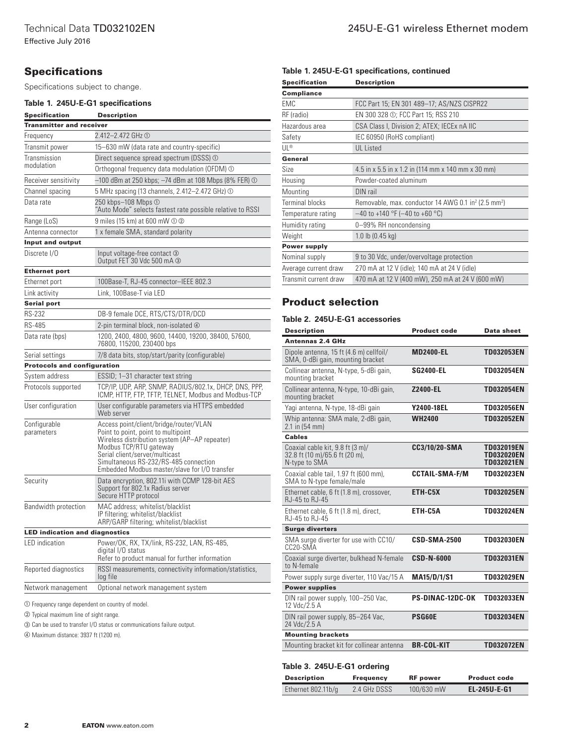## **Specifications**

Specifications subject to change.

### **Table 1. 245U-E-G1 specifications**

| <b>Specification</b>                  | <b>Description</b>                                                                                                                                                                                                                                                                   |  |  |  |  |  |
|---------------------------------------|--------------------------------------------------------------------------------------------------------------------------------------------------------------------------------------------------------------------------------------------------------------------------------------|--|--|--|--|--|
|                                       | <b>Transmitter and receiver</b>                                                                                                                                                                                                                                                      |  |  |  |  |  |
| Frequency                             | 2.412-2.472 GHz ①                                                                                                                                                                                                                                                                    |  |  |  |  |  |
| Transmit power                        | 15–630 mW (data rate and country-specific)                                                                                                                                                                                                                                           |  |  |  |  |  |
| Transmission                          | Direct sequence spread spectrum (DSSS) ①                                                                                                                                                                                                                                             |  |  |  |  |  |
| modulation                            | Orthogonal frequency data modulation (OFDM) ①                                                                                                                                                                                                                                        |  |  |  |  |  |
| Receiver sensitivity                  | $-100$ dBm at 250 kbps; $-74$ dBm at 108 Mbps (8% FER) $\odot$                                                                                                                                                                                                                       |  |  |  |  |  |
| Channel spacing                       | 5 MHz spacing (13 channels, 2.412–2.472 GHz) ①                                                                                                                                                                                                                                       |  |  |  |  |  |
| Data rate                             | 250 kbps-108 Mbps 1<br>"Auto Mode" selects fastest rate possible relative to RSSI                                                                                                                                                                                                    |  |  |  |  |  |
| Range (LoS)                           | 9 miles (15 km) at 600 mW ① ②                                                                                                                                                                                                                                                        |  |  |  |  |  |
| Antenna connector                     | 1 x female SMA, standard polarity                                                                                                                                                                                                                                                    |  |  |  |  |  |
| <b>Input and output</b>               |                                                                                                                                                                                                                                                                                      |  |  |  |  |  |
| Discrete I/O                          | Input voltage-free contact 3<br>Output FET 30 Vdc 500 mA 3                                                                                                                                                                                                                           |  |  |  |  |  |
| <b>Ethernet port</b>                  |                                                                                                                                                                                                                                                                                      |  |  |  |  |  |
| Ethernet port                         | 100Base-T, RJ-45 connector-IEEE 802.3                                                                                                                                                                                                                                                |  |  |  |  |  |
| Link activity                         | Link. 100Base-T via LED                                                                                                                                                                                                                                                              |  |  |  |  |  |
| <b>Serial port</b>                    |                                                                                                                                                                                                                                                                                      |  |  |  |  |  |
| <b>RS-232</b>                         | DB-9 female DCE, RTS/CTS/DTR/DCD                                                                                                                                                                                                                                                     |  |  |  |  |  |
| <b>RS-485</b>                         | 2-pin terminal block, non-isolated 4                                                                                                                                                                                                                                                 |  |  |  |  |  |
| Data rate (bps)                       | 1200, 2400, 4800, 9600, 14400, 19200, 38400, 57600,<br>76800, 115200, 230400 bps                                                                                                                                                                                                     |  |  |  |  |  |
| Serial settings                       | 7/8 data bits, stop/start/parity (configurable)                                                                                                                                                                                                                                      |  |  |  |  |  |
| <b>Protocols and configuration</b>    |                                                                                                                                                                                                                                                                                      |  |  |  |  |  |
| System address                        | ESSID; 1-31 character text string                                                                                                                                                                                                                                                    |  |  |  |  |  |
| Protocols supported                   | TCP/IP, UDP, ARP, SNMP, RADIUS/802.1x, DHCP, DNS, PPP,<br>ICMP, HTTP, FTP, TFTP, TELNET, Modbus and Modbus-TCP                                                                                                                                                                       |  |  |  |  |  |
| User configuration                    | User configurable parameters via HTTPS embedded<br>Web server                                                                                                                                                                                                                        |  |  |  |  |  |
| Configurable<br>parameters            | Access point/client/bridge/router/VLAN<br>Point to point, point to multipoint<br>Wireless distribution system (AP-AP repeater)<br>Modbus TCP/RTU gateway<br>Serial client/server/multicast<br>Simultaneous RS-232/RS-485 connection<br>Embedded Modbus master/slave for I/O transfer |  |  |  |  |  |
| Security                              | Data encryption, 802.11i with CCMP 128-bit AES<br>Support for 802.1x Radius server<br>Secure HTTP protocol                                                                                                                                                                           |  |  |  |  |  |
| Bandwidth protection                  | MAC address; whitelist/blacklist<br>IP filtering; whitelist/blacklist<br>ARP/GARP filtering; whitelist/blacklist                                                                                                                                                                     |  |  |  |  |  |
| <b>LED indication and diagnostics</b> |                                                                                                                                                                                                                                                                                      |  |  |  |  |  |
| LED indication                        | Power/OK, RX, TX/link, RS-232, LAN, RS-485,<br>digital I/O status<br>Refer to product manual for further information                                                                                                                                                                 |  |  |  |  |  |
| Reported diagnostics                  | RSSI measurements, connectivity information/statistics,<br>log file                                                                                                                                                                                                                  |  |  |  |  |  |
|                                       | 0.411                                                                                                                                                                                                                                                                                |  |  |  |  |  |

Network management Optional network management system

- Frequency range dependent on country of model.

Typical maximum line of sight range.

Can be used to transfer I/O status or communications failure output.

Maximum distance: 3937 ft (1200 m).

#### **Table 1. 245U-E-G1 specifications, continued**

| <b>Specification</b>   | <b>Description</b>                                                          |  |  |
|------------------------|-----------------------------------------------------------------------------|--|--|
| <b>Compliance</b>      |                                                                             |  |  |
| EMC                    | FCC Part 15; EN 301 489-17; AS/NZS CISPR22                                  |  |  |
| RF (radio)             | EN 300 328 ①; FCC Part 15; RSS 210                                          |  |  |
| Hazardous area         | CSA Class I, Division 2; ATEX; IECEx nA IIC                                 |  |  |
| Safety                 | IEC 60950 (RoHS compliant)                                                  |  |  |
| UL®                    | <b>UL</b> Listed                                                            |  |  |
| General                |                                                                             |  |  |
| Size                   | 4.5 in x 5.5 in x 1.2 in (114 mm x 140 mm x 30 mm)                          |  |  |
| Housing                | Powder-coated aluminum                                                      |  |  |
| Mounting               | DIN rail                                                                    |  |  |
| <b>Terminal blocks</b> | Removable, max. conductor 14 AWG 0.1 in <sup>2</sup> (2.5 mm <sup>2</sup> ) |  |  |
| Temperature rating     | $-40$ to +140 °F ( $-40$ to +60 °C)                                         |  |  |
| Humidity rating        | 0-99% RH noncondensing                                                      |  |  |
| Weight                 | $1.0$ lb $(0.45$ kg)                                                        |  |  |
| <b>Power supply</b>    |                                                                             |  |  |
| Nominal supply         | 9 to 30 Vdc, under/overvoltage protection                                   |  |  |
| Average current draw   | 270 mA at 12 V (idle); 140 mA at 24 V (idle)                                |  |  |
| Transmit current draw  | 470 mA at 12 V (400 mW), 250 mA at 24 V (600 mW)                            |  |  |
|                        |                                                                             |  |  |

## **Product selection**

#### **Table 2. 245U-E-G1 accessories**

| <b>Description</b>                                                                  | <b>Product code</b>     | Data sheet                                                  |
|-------------------------------------------------------------------------------------|-------------------------|-------------------------------------------------------------|
| <b>Antennas 2.4 GHz</b>                                                             |                         |                                                             |
| Dipole antenna, 15 ft (4.6 m) cellfoil/<br>SMA, 0-dBi gain, mounting bracket        | <b>MD2400-EL</b>        | TD032053EN                                                  |
| Collinear antenna, N-type, 5-dBi gain,<br>mounting bracket                          | <b>SG2400-EL</b>        | <b>TD032054EN</b>                                           |
| Collinear antenna, N-type, 10-dBi gain,<br>mounting bracket                         | Z2400-EL                | <b>TD032054EN</b>                                           |
| Yagi antenna, N-type, 18-dBi gain                                                   | <b>Y2400-18EL</b>       | TD032056EN                                                  |
| Whip antenna: SMA male, 2-dBi gain,<br>2.1 in (54 mm)                               | <b>WH2400</b>           | <b>TD032052EN</b>                                           |
| <b>Cables</b>                                                                       |                         |                                                             |
| Coaxial cable kit, 9.8 ft (3 m)/<br>32.8 ft (10 m)/65.6 ft (20 m),<br>N-type to SMA | CC3/10/20-SMA           | <b>TD032019EN</b><br><b>TD032020EN</b><br><b>TD032021EN</b> |
| Coaxial cable tail, 1.97 ft (600 mm),<br>SMA to N-type female/male                  | <b>CCTAIL-SMA-F/M</b>   | <b>TD032023EN</b>                                           |
| Ethernet cable, 6 ft (1.8 m), crossover,<br>RJ-45 to RJ-45                          | ETH-C5X                 | <b>TD032025EN</b>                                           |
| Ethernet cable, 6 ft (1.8 m), direct,<br>RJ-45 to RJ-45                             | ETH-C5A                 | <b>TD032024EN</b>                                           |
| <b>Surge diverters</b>                                                              |                         |                                                             |
| SMA surge diverter for use with CC10/<br>CC20-SMA                                   | <b>CSD-SMA-2500</b>     | <b>TD032030EN</b>                                           |
| Coaxial surge diverter, bulkhead N-female<br>to N-female                            | <b>CSD-N-6000</b>       | <b>TD032031EN</b>                                           |
| Power supply surge diverter, 110 Vac/15 A                                           | <b>MA15/D/1/S1</b>      | <b>TD032029EN</b>                                           |
| <b>Power supplies</b>                                                               |                         |                                                             |
| DIN rail power supply, 100-250 Vac,<br>12 $Vdc/2.5$ A                               | <b>PS-DINAC-12DC-OK</b> | <b>TD032033EN</b>                                           |
| DIN rail power supply, 85-264 Vac,<br>24 Vdc/2.5 A                                  | <b>PSG60E</b>           | <b>TD032034EN</b>                                           |
| <b>Mounting brackets</b>                                                            |                         |                                                             |
| Mounting bracket kit for collinear antenna                                          | <b>BR-COL-KIT</b>       | <b>TD032072EN</b>                                           |

#### **Table 3. 245U-E-G1 ordering**

| <b>Description</b>    | Frequency    | <b>RF</b> power | <b>Product code</b> |
|-----------------------|--------------|-----------------|---------------------|
| Ethernet $802.11b$ /g | 2.4 GHz DSSS | 100/630 mW      | <b>EL-245U-E-G1</b> |